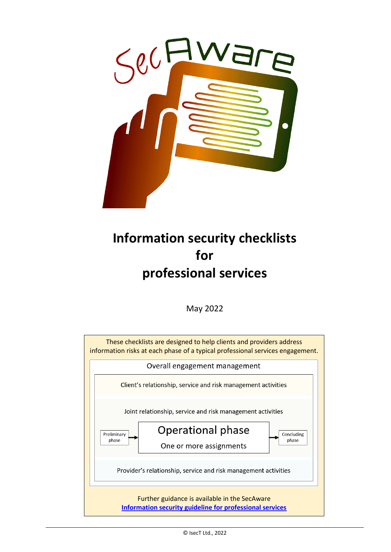

## **Information security checklists for professional services**

May 2022

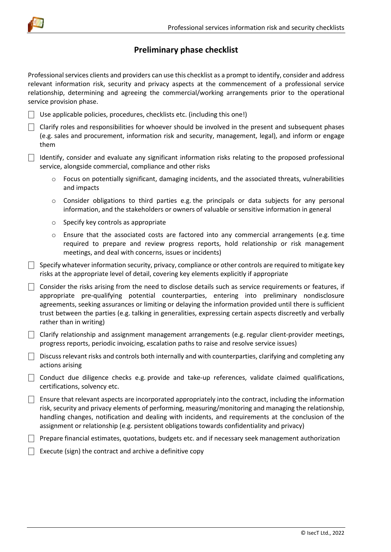

## **Preliminary phase checklist**

Professional services clients and providers can use this checklist as a prompt to identify, consider and address relevant information risk, security and privacy aspects at the commencement of a professional service relationship, determining and agreeing the commercial/working arrangements prior to the operational service provision phase.

- $\Box$  Use applicable policies, procedures, checklists etc. (including this one!)
- $\Box$  Clarify roles and responsibilities for whoever should be involved in the present and subsequent phases (e.g. sales and procurement, information risk and security, management, legal), and inform or engage them
- $\Box$  Identify, consider and evaluate any significant information risks relating to the proposed professional service, alongside commercial, compliance and other risks
	- o Focus on potentially significant, damaging incidents, and the associated threats, vulnerabilities and impacts
	- o Consider obligations to third parties e.g. the principals or data subjects for any personal information, and the stakeholders or owners of valuable or sensitive information in general
	- o Specify key controls as appropriate
	- $\circ$  Ensure that the associated costs are factored into any commercial arrangements (e.g. time required to prepare and review progress reports, hold relationship or risk management meetings, and deal with concerns, issues or incidents)
- $\Box$  Specify whatever information security, privacy, compliance or other controls are required to mitigate key risks at the appropriate level of detail, covering key elements explicitly if appropriate
- $\Box$  Consider the risks arising from the need to disclose details such as service requirements or features, if appropriate pre-qualifying potential counterparties, entering into preliminary nondisclosure agreements, seeking assurances or limiting or delaying the information provided until there is sufficient trust between the parties (e.g. talking in generalities, expressing certain aspects discreetly and verbally rather than in writing)
- $\Box$  Clarify relationship and assignment management arrangements (e.g. regular client-provider meetings, progress reports, periodic invoicing, escalation paths to raise and resolve service issues)
- $\Box$  Discuss relevant risks and controls both internally and with counterparties, clarifying and completing any actions arising
- $\Box$  Conduct due diligence checks e.g. provide and take-up references, validate claimed qualifications, certifications, solvency etc.
- $\Box$  Ensure that relevant aspects are incorporated appropriately into the contract, including the information risk, security and privacy elements of performing, measuring/monitoring and managing the relationship, handling changes, notification and dealing with incidents, and requirements at the conclusion of the assignment or relationship (e.g. persistent obligations towards confidentiality and privacy)
- $\Box$  Prepare financial estimates, quotations, budgets etc. and if necessary seek management authorization
- $\Box$  Execute (sign) the contract and archive a definitive copy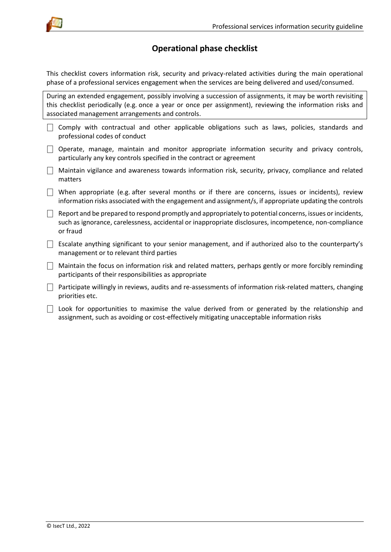

## **Operational phase checklist**

This checklist covers information risk, security and privacy-related activities during the main operational phase of a professional services engagement when the services are being delivered and used/consumed.

During an extended engagement, possibly involving a succession of assignments, it may be worth revisiting this checklist periodically (e.g. once a year or once per assignment), reviewing the information risks and associated management arrangements and controls.

- $\Box$  Comply with contractual and other applicable obligations such as laws, policies, standards and professional codes of conduct
- $\Box$  Operate, manage, maintain and monitor appropriate information security and privacy controls, particularly any key controls specified in the contract or agreement
- $\Box$  Maintain vigilance and awareness towards information risk, security, privacy, compliance and related matters
- $\Box$  When appropriate (e.g. after several months or if there are concerns, issues or incidents), review information risks associated with the engagement and assignment/s, if appropriate updating the controls
- $\Box$  Report and be prepared to respond promptly and appropriately to potential concerns, issues or incidents, such as ignorance, carelessness, accidental or inappropriate disclosures, incompetence, non-compliance or fraud
- $\Box$  Escalate anything significant to your senior management, and if authorized also to the counterparty's management or to relevant third parties
- $\Box$  Maintain the focus on information risk and related matters, perhaps gently or more forcibly reminding participants of their responsibilities as appropriate
- $\Box$  Participate willingly in reviews, audits and re-assessments of information risk-related matters, changing priorities etc.
- $\vert \ \vert$  Look for opportunities to maximise the value derived from or generated by the relationship and assignment, such as avoiding or cost-effectively mitigating unacceptable information risks